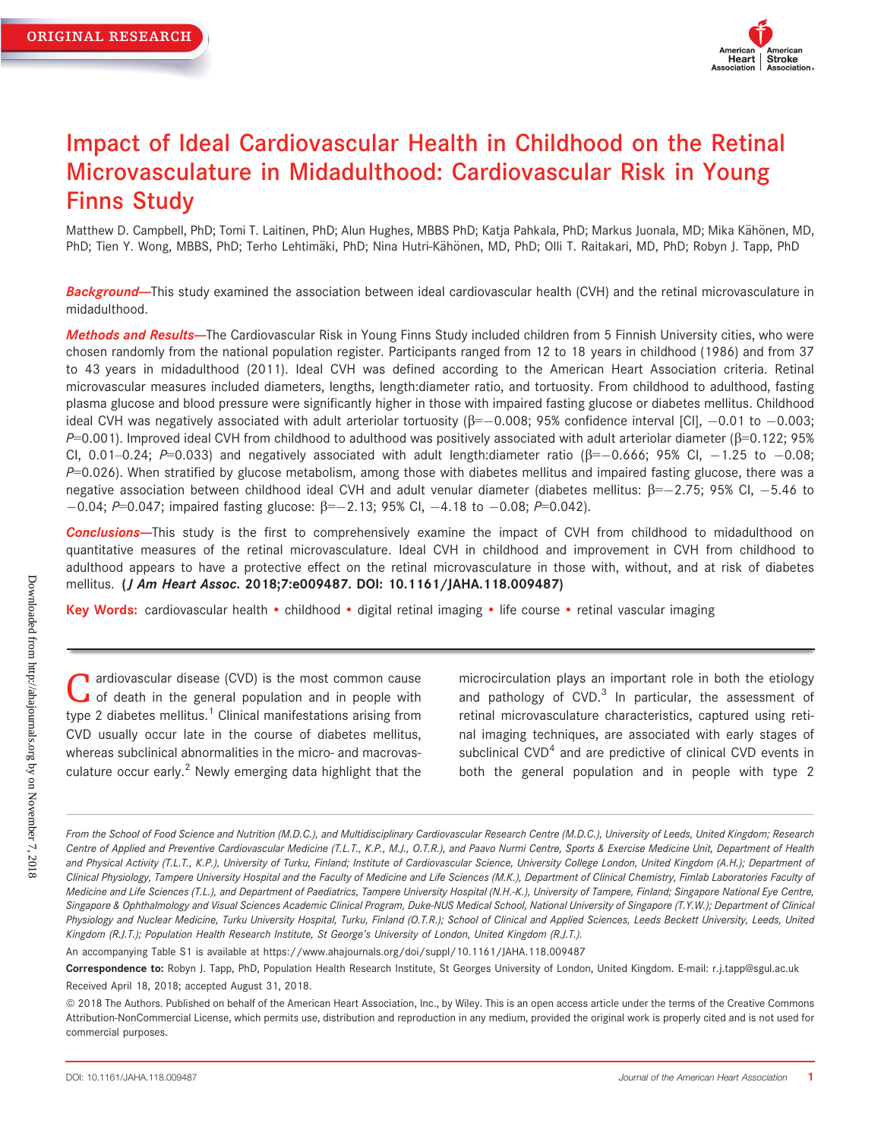

# Impact of Ideal Cardiovascular Health in Childhood on the Retinal Microvasculature in Midadulthood: Cardiovascular Risk in Young Finns Study

Matthew D. Campbell, PhD; Tomi T. Laitinen, PhD; Alun Hughes, MBBS PhD; Katja Pahkala, PhD; Markus Juonala, MD; Mika Kähönen, MD, PhD; Tien Y. Wong, MBBS, PhD; Terho Lehtimäki, PhD; Nina Hutri-Kähönen, MD, PhD; Olli T. Raitakari, MD, PhD; Robyn J. Tapp, PhD

Background-This study examined the association between ideal cardiovascular health (CVH) and the retinal microvasculature in midadulthood.

Methods and Results-The Cardiovascular Risk in Young Finns Study included children from 5 Finnish University cities, who were chosen randomly from the national population register. Participants ranged from 12 to 18 years in childhood (1986) and from 37 to 43 years in midadulthood (2011). Ideal CVH was defined according to the American Heart Association criteria. Retinal microvascular measures included diameters, lengths, length:diameter ratio, and tortuosity. From childhood to adulthood, fasting plasma glucose and blood pressure were significantly higher in those with impaired fasting glucose or diabetes mellitus. Childhood ideal CVH was negatively associated with adult arteriolar tortuosity ( $\beta = -0.008$ ; 95% confidence interval [CI],  $-0.01$  to  $-0.003$ ;  $P=0.001$ ). Improved ideal CVH from childhood to adulthood was positively associated with adult arteriolar diameter ( $\beta=0.122$ ; 95% CI, 0.01–0.24; P=0.033) and negatively associated with adult length:diameter ratio ( $\beta$ =-0.666; 95% CI, -1.25 to -0.08;  $P=0.026$ ). When stratified by glucose metabolism, among those with diabetes mellitus and impaired fasting glucose, there was a negative association between childhood ideal CVH and adult venular diameter (diabetes mellitus:  $\beta = -2.75$ ; 95% CI, -5.46 to  $-0.04$ ; P=0.047; impaired fasting glucose:  $\beta = -2.13$ ; 95% Cl,  $-4.18$  to  $-0.08$ ; P=0.042).

**Conclusions**--This study is the first to comprehensively examine the impact of CVH from childhood to midadulthood on quantitative measures of the retinal microvasculature. Ideal CVH in childhood and improvement in CVH from childhood to adulthood appears to have a protective effect on the retinal microvasculature in those with, without, and at risk of diabetes mellitus. (J Am Heart Assoc. 2018;7:e009487. DOI: [10.1161/JAHA.118.009487\)](info:doi/10.1161/JAHA.118.009487)

Key Words: cardiovascular health • childhood • digital retinal imaging • life course • retinal vascular imaging

a ardiovascular disease (CVD) is the most common cause of death in the general population and in people with type 2 diabetes mellitus.<sup>1</sup> Clinical manifestations arising from CVD usually occur late in the course of diabetes mellitus, whereas subclinical abnormalities in the micro- and macrovasculature occur early. $2$  Newly emerging data highlight that the microcirculation plays an important role in both the etiology and pathology of  $CVD$ <sup>3</sup> In particular, the assessment of retinal microvasculature characteristics, captured using retinal imaging techniques, are associated with early stages of subclinical  $CVD<sup>4</sup>$  and are predictive of clinical  $CVD$  events in both the general population and in people with type 2

An accompanying Table S1 is available at [https://www.ahajournals.org/doi/suppl/10.1161/JAHA.118.009487](https://www.ahajournals.org/doi/suppl/10.1161/JAHA.118.e009487)

Downloaded from http://ahajournals.org by on November 7, 2018 Downloaded from http://ahajournals.org by on November 7, 2018

From the School of Food Science and Nutrition (M.D.C.), and Multidisciplinary Cardiovascular Research Centre (M.D.C.), University of Leeds, United Kingdom; Research Centre of Applied and Preventive Cardiovascular Medicine (T.L.T., K.P., M.J., O.T.R.), and Paavo Nurmi Centre, Sports & Exercise Medicine Unit, Department of Health and Physical Activity (T.L.T., K.P.), University of Turku, Finland; Institute of Cardiovascular Science, University College London, United Kingdom (A.H.); Department of Clinical Physiology, Tampere University Hospital and the Faculty of Medicine and Life Sciences (M.K.), Department of Clinical Chemistry, Fimlab Laboratories Faculty of Medicine and Life Sciences (T.L.), and Department of Paediatrics, Tampere University Hospital (N.H.-K.), University of Tampere, Finland; Singapore National Eye Centre, Singapore & Ophthalmology and Visual Sciences Academic Clinical Program, Duke-NUS Medical School, National University of Singapore (T.Y.W.); Department of Clinical Physiology and Nuclear Medicine, Turku University Hospital, Turku, Finland (O.T.R.); School of Clinical and Applied Sciences, Leeds Beckett University, Leeds, United Kingdom (R.J.T.); Population Health Research Institute, St George's University of London, United Kingdom (R.J.T.).

Correspondence to: Robyn J. Tapp, PhD, Population Health Research Institute, St Georges University of London, United Kingdom. E-mail: [r.j.tapp@sgul.ac.uk](mailto:) Received April 18, 2018; accepted August 31, 2018.

ª 2018 The Authors. Published on behalf of the American Heart Association, Inc., by Wiley. This is an open access article under the terms of the [Creative Commons](http://creativecommons.org/licenses/by-nc/4.0/) [Attribution-NonCommercial](http://creativecommons.org/licenses/by-nc/4.0/) License, which permits use, distribution and reproduction in any medium, provided the original work is properly cited and is not used for commercial purposes.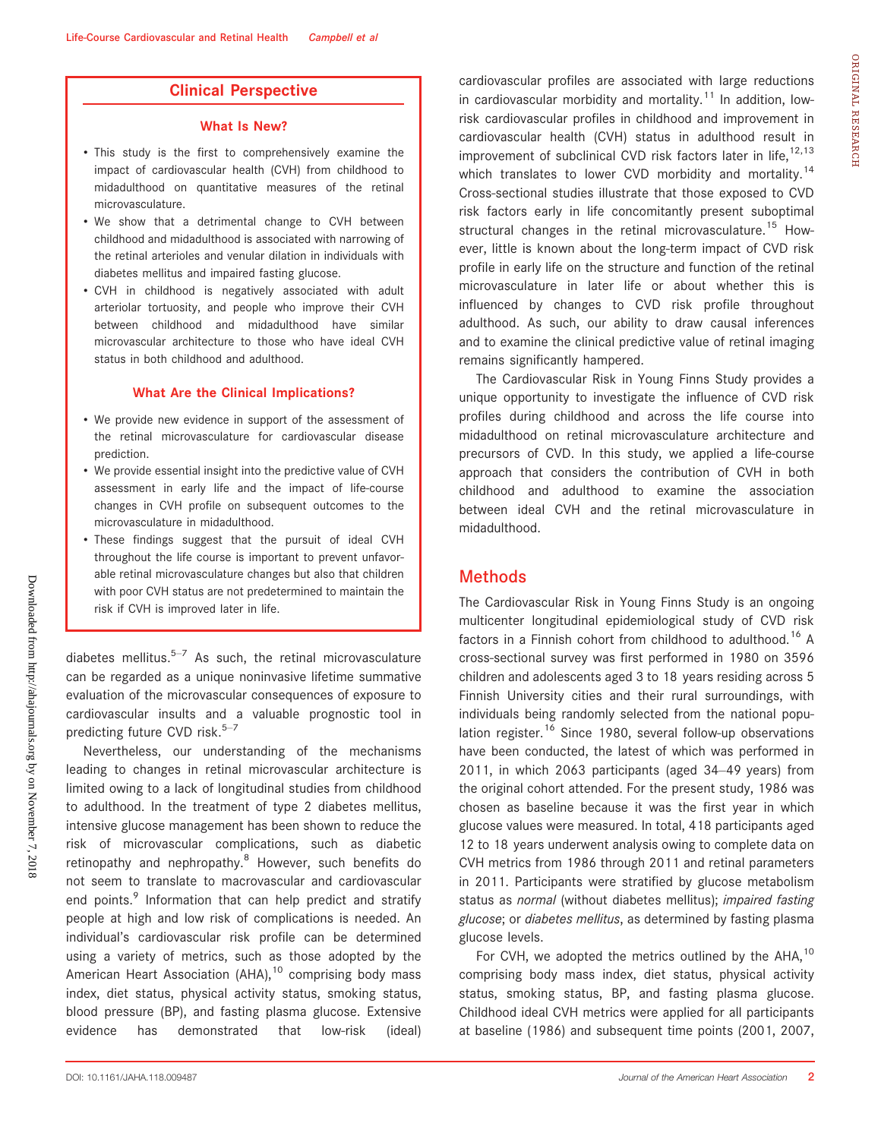### Clinical Perspective

#### What Is New?

- This study is the first to comprehensively examine the impact of cardiovascular health (CVH) from childhood to midadulthood on quantitative measures of the retinal microvasculature.
- We show that a detrimental change to CVH between childhood and midadulthood is associated with narrowing of the retinal arterioles and venular dilation in individuals with diabetes mellitus and impaired fasting glucose.
- CVH in childhood is negatively associated with adult arteriolar tortuosity, and people who improve their CVH between childhood and midadulthood have similar microvascular architecture to those who have ideal CVH status in both childhood and adulthood.

#### What Are the Clinical Implications?

- We provide new evidence in support of the assessment of the retinal microvasculature for cardiovascular disease prediction.
- We provide essential insight into the predictive value of CVH assessment in early life and the impact of life-course changes in CVH profile on subsequent outcomes to the microvasculature in midadulthood.
- These findings suggest that the pursuit of ideal CVH throughout the life course is important to prevent unfavorable retinal microvasculature changes but also that children with poor CVH status are not predetermined to maintain the risk if CVH is improved later in life.

diabetes mellitus. $5-7$  As such, the retinal microvasculature can be regarded as a unique noninvasive lifetime summative evaluation of the microvascular consequences of exposure to cardiovascular insults and a valuable prognostic tool in predicting future CVD risk. $5-7$ 

Nevertheless, our understanding of the mechanisms leading to changes in retinal microvascular architecture is limited owing to a lack of longitudinal studies from childhood to adulthood. In the treatment of type 2 diabetes mellitus, intensive glucose management has been shown to reduce the risk of microvascular complications, such as diabetic retinopathy and nephropathy.<sup>8</sup> However, such benefits do not seem to translate to macrovascular and cardiovascular end points.<sup>9</sup> Information that can help predict and stratify people at high and low risk of complications is needed. An individual's cardiovascular risk profile can be determined using a variety of metrics, such as those adopted by the American Heart Association  $(AHA)$ ,<sup>10</sup> comprising body mass index, diet status, physical activity status, smoking status, blood pressure (BP), and fasting plasma glucose. Extensive evidence has demonstrated that low-risk (ideal) cardiovascular profiles are associated with large reductions in cardiovascular morbidity and mortality.<sup>11</sup> In addition, lowrisk cardiovascular profiles in childhood and improvement in cardiovascular health (CVH) status in adulthood result in improvement of subclinical CVD risk factors later in life,  $12,13$ which translates to lower CVD morbidity and mortality.<sup>14</sup> Cross-sectional studies illustrate that those exposed to CVD risk factors early in life concomitantly present suboptimal structural changes in the retinal microvasculature.<sup>15</sup> However, little is known about the long-term impact of CVD risk profile in early life on the structure and function of the retinal microvasculature in later life or about whether this is influenced by changes to CVD risk profile throughout adulthood. As such, our ability to draw causal inferences and to examine the clinical predictive value of retinal imaging remains significantly hampered.

The Cardiovascular Risk in Young Finns Study provides a unique opportunity to investigate the influence of CVD risk profiles during childhood and across the life course into midadulthood on retinal microvasculature architecture and precursors of CVD. In this study, we applied a life-course approach that considers the contribution of CVH in both childhood and adulthood to examine the association between ideal CVH and the retinal microvasculature in midadulthood.

### **Methods**

The Cardiovascular Risk in Young Finns Study is an ongoing multicenter longitudinal epidemiological study of CVD risk factors in a Finnish cohort from childhood to adulthood.<sup>16</sup> A cross-sectional survey was first performed in 1980 on 3596 children and adolescents aged 3 to 18 years residing across 5 Finnish University cities and their rural surroundings, with individuals being randomly selected from the national population register.<sup>16</sup> Since 1980, several follow-up observations have been conducted, the latest of which was performed in 2011, in which 2063 participants (aged 34–49 years) from the original cohort attended. For the present study, 1986 was chosen as baseline because it was the first year in which glucose values were measured. In total, 418 participants aged 12 to 18 years underwent analysis owing to complete data on CVH metrics from 1986 through 2011 and retinal parameters in 2011. Participants were stratified by glucose metabolism status as normal (without diabetes mellitus); impaired fasting glucose; or diabetes mellitus, as determined by fasting plasma glucose levels.

For CVH, we adopted the metrics outlined by the  $AHA$ ,<sup>10</sup> comprising body mass index, diet status, physical activity status, smoking status, BP, and fasting plasma glucose. Childhood ideal CVH metrics were applied for all participants at baseline (1986) and subsequent time points (2001, 2007, ORIGINAL

RESEARCH

ORIGINAL RESEARCH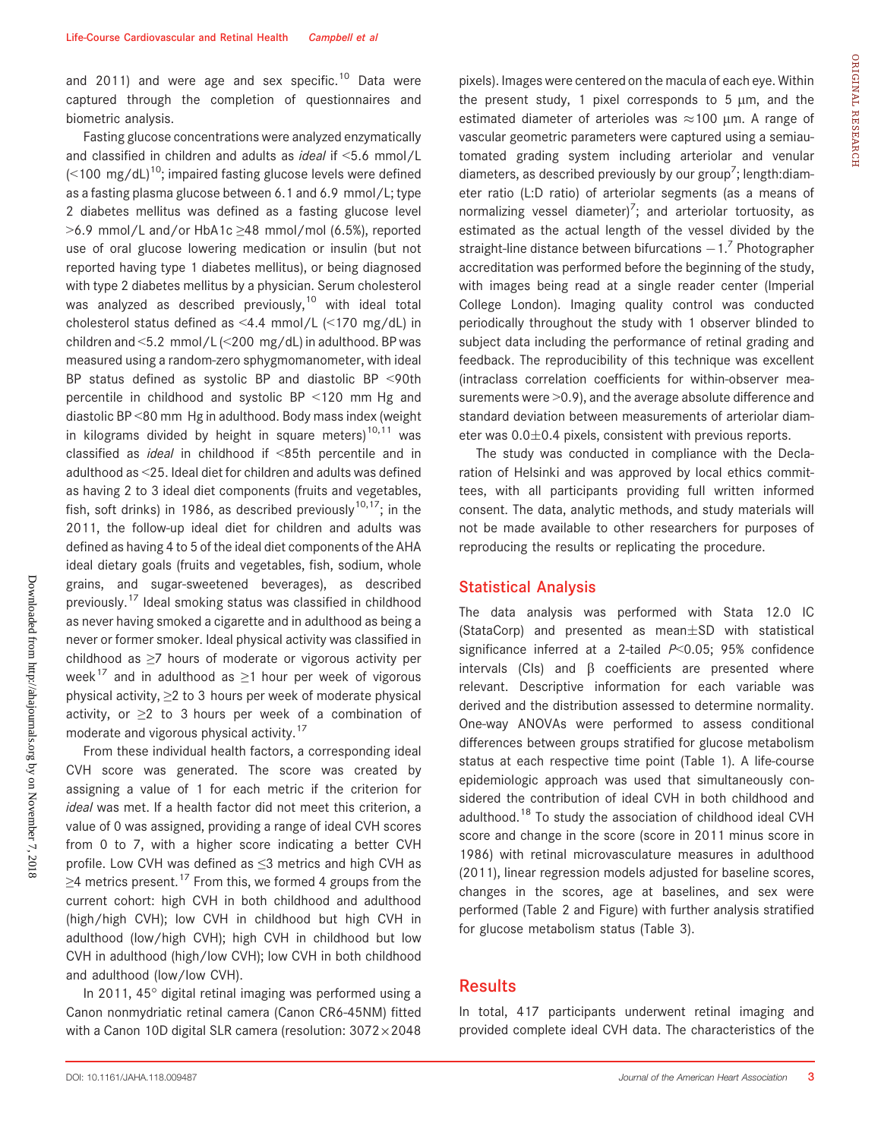and 2011) and were age and sex specific.<sup>10</sup> Data were captured through the completion of questionnaires and biometric analysis.

Fasting glucose concentrations were analyzed enzymatically and classified in children and adults as ideal if <5.6 mmol/L  $\approx$  100 mg/dL)<sup>10</sup>; impaired fasting glucose levels were defined as a fasting plasma glucose between 6.1 and 6.9 mmol/L; type 2 diabetes mellitus was defined as a fasting glucose level >6.9 mmol/L and/or HbA1c ≥48 mmol/mol (6.5%), reported use of oral glucose lowering medication or insulin (but not reported having type 1 diabetes mellitus), or being diagnosed with type 2 diabetes mellitus by a physician. Serum cholesterol was analyzed as described previously, $10$  with ideal total cholesterol status defined as <4.4 mmol/L (<170 mg/dL) in children and <5.2 mmol/L (<200 mg/dL) in adulthood. BP was measured using a random-zero sphygmomanometer, with ideal BP status defined as systolic BP and diastolic BP <90th percentile in childhood and systolic BP <120 mm Hg and diastolic BP <80 mm Hg in adulthood. Body mass index (weight in kilograms divided by height in square meters)<sup>10,11</sup> was classified as ideal in childhood if <85th percentile and in adulthood as <25. Ideal diet for children and adults was defined as having 2 to 3 ideal diet components (fruits and vegetables, fish, soft drinks) in 1986, as described previously<sup>10,17</sup>; in the 2011, the follow-up ideal diet for children and adults was defined as having 4 to 5 of the ideal diet components of the AHA ideal dietary goals (fruits and vegetables, fish, sodium, whole grains, and sugar-sweetened beverages), as described previously.<sup>17</sup> Ideal smoking status was classified in childhood as never having smoked a cigarette and in adulthood as being a never or former smoker. Ideal physical activity was classified in childhood as ≥7 hours of moderate or vigorous activity per week<sup>17</sup> and in adulthood as  $\geq$ 1 hour per week of vigorous physical activity,  $\geq$ 2 to 3 hours per week of moderate physical activity, or  $\geq 2$  to 3 hours per week of a combination of moderate and vigorous physical activity.<sup>17</sup>

From these individual health factors, a corresponding ideal CVH score was generated. The score was created by assigning a value of 1 for each metric if the criterion for ideal was met. If a health factor did not meet this criterion, a value of 0 was assigned, providing a range of ideal CVH scores from 0 to 7, with a higher score indicating a better CVH profile. Low CVH was defined as ≤3 metrics and high CVH as  $\geq$ 4 metrics present.<sup>17</sup> From this, we formed 4 groups from the current cohort: high CVH in both childhood and adulthood (high/high CVH); low CVH in childhood but high CVH in adulthood (low/high CVH); high CVH in childhood but low CVH in adulthood (high/low CVH); low CVH in both childhood and adulthood (low/low CVH).

In 2011, 45° digital retinal imaging was performed using a Canon nonmydriatic retinal camera (Canon CR6-45NM) fitted with a Canon 10D digital SLR camera (resolution:  $3072\times2048$  pixels). Images were centered on the macula of each eye. Within the present study, 1 pixel corresponds to 5  $\mu$ m, and the estimated diameter of arterioles was  $\approx$  100 µm. A range of vascular geometric parameters were captured using a semiautomated grading system including arteriolar and venular diameters, as described previously by our group<sup>7</sup>; length:diameter ratio (L:D ratio) of arteriolar segments (as a means of normalizing vessel diameter)<sup>7</sup>; and arteriolar tortuosity, as estimated as the actual length of the vessel divided by the straight-line distance between bifurcations  $-1$ .<sup>7</sup> Photographer accreditation was performed before the beginning of the study, with images being read at a single reader center (Imperial College London). Imaging quality control was conducted periodically throughout the study with 1 observer blinded to subject data including the performance of retinal grading and feedback. The reproducibility of this technique was excellent (intraclass correlation coefficients for within-observer measurements were  $>0.9$ , and the average absolute difference and standard deviation between measurements of arteriolar diameter was  $0.0 \pm 0.4$  pixels, consistent with previous reports.

The study was conducted in compliance with the Declaration of Helsinki and was approved by local ethics committees, with all participants providing full written informed consent. The data, analytic methods, and study materials will not be made available to other researchers for purposes of reproducing the results or replicating the procedure.

#### Statistical Analysis

The data analysis was performed with Stata 12.0 IC (StataCorp) and presented as mean $\pm$ SD with statistical significance inferred at a 2-tailed  $P<0.05$ ; 95% confidence intervals (CIs) and  $\beta$  coefficients are presented where relevant. Descriptive information for each variable was derived and the distribution assessed to determine normality. One-way ANOVAs were performed to assess conditional differences between groups stratified for glucose metabolism status at each respective time point (Table 1). A life-course epidemiologic approach was used that simultaneously considered the contribution of ideal CVH in both childhood and adulthood.<sup>18</sup> To study the association of childhood ideal CVH score and change in the score (score in 2011 minus score in 1986) with retinal microvasculature measures in adulthood (2011), linear regression models adjusted for baseline scores, changes in the scores, age at baselines, and sex were performed (Table 2 and Figure) with further analysis stratified for glucose metabolism status (Table 3).

### **Results**

In total, 417 participants underwent retinal imaging and provided complete ideal CVH data. The characteristics of the ORIGINAL

RESEARCH

ORIGINAL RESEARCH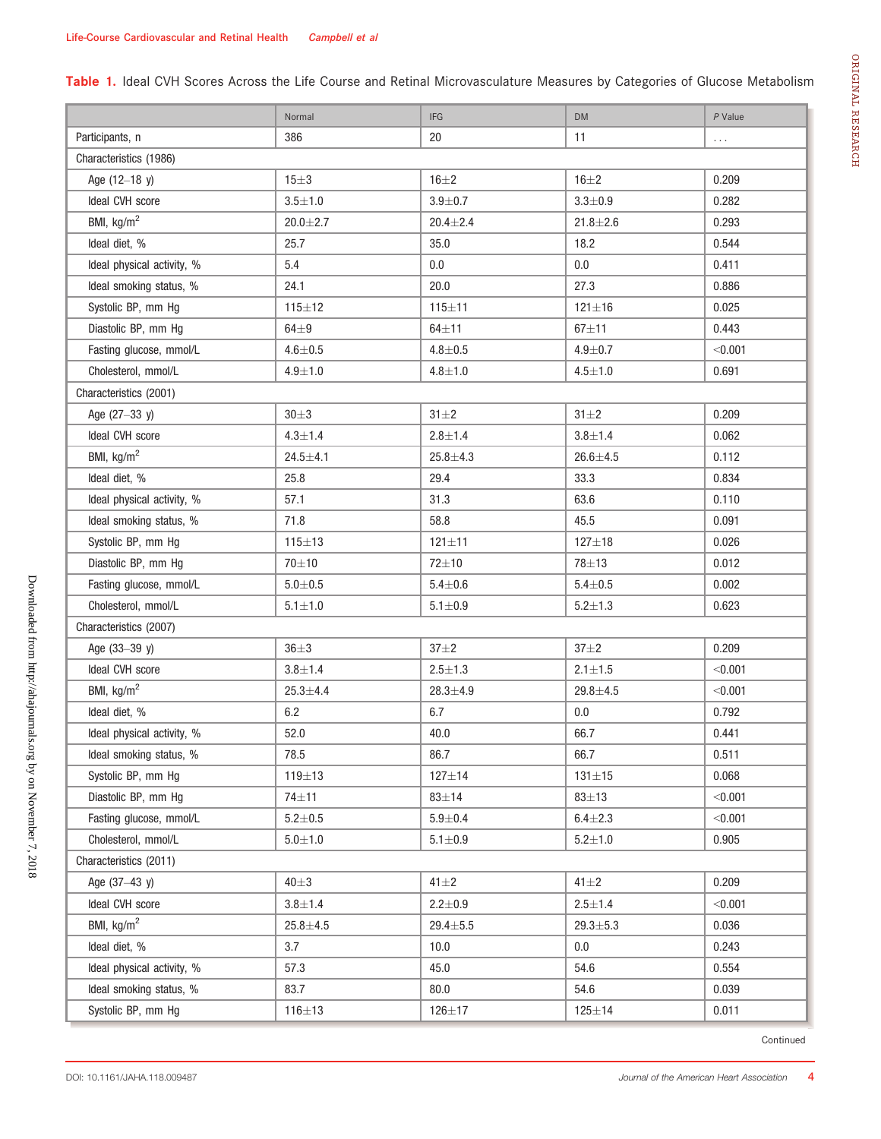Table 1. Ideal CVH Scores Across the Life Course and Retinal Microvasculature Measures by Categories of Glucose Metabolism

|                            | Normal        | <b>IFG</b>    | <b>DM</b>      | $P$ Value |  |  |  |
|----------------------------|---------------|---------------|----------------|-----------|--|--|--|
| Participants, n            | 386           | 20            | 11             | $\ldots$  |  |  |  |
| Characteristics (1986)     |               |               |                |           |  |  |  |
| Age (12-18 y)              | $15 \pm 3$    | $16\pm2$      | $16\pm2$       | 0.209     |  |  |  |
| Ideal CVH score            | $3.5 + 1.0$   | $3.9 + 0.7$   | $3.3 + 0.9$    | 0.282     |  |  |  |
| BMI, kg/m <sup>2</sup>     | $20.0 + 2.7$  | $20.4 + 2.4$  | $21.8 + 2.6$   | 0.293     |  |  |  |
| Ideal diet, %              | 25.7          | 35.0          | 18.2           | 0.544     |  |  |  |
| Ideal physical activity, % | 5.4           | 0.0           | 0.0            | 0.411     |  |  |  |
| Ideal smoking status, %    | 24.1          | 20.0          | 27.3           | 0.886     |  |  |  |
| Systolic BP, mm Hg         | $115 + 12$    | $115 + 11$    | $121 \pm 16$   | 0.025     |  |  |  |
| Diastolic BP, mm Hg        | $64\pm9$      | $64 + 11$     | $67 + 11$      | 0.443     |  |  |  |
| Fasting glucose, mmol/L    | $4.6 + 0.5$   | $4.8 + 0.5$   | $4.9 + 0.7$    | < 0.001   |  |  |  |
| Cholesterol, mmol/L        | $4.9 + 1.0$   | $4.8 + 1.0$   | $4.5{\pm}1.0$  | 0.691     |  |  |  |
| Characteristics (2001)     |               |               |                |           |  |  |  |
| Age (27-33 y)              | $30\pm3$      | $31 \pm 2$    | $31\pm2$       | 0.209     |  |  |  |
| Ideal CVH score            | $4.3 \pm 1.4$ | $2.8 + 1.4$   | $3.8 + 1.4$    | 0.062     |  |  |  |
| BMI, $kg/m2$               | $24.5 + 4.1$  | $25.8 + 4.3$  | $26.6 + 4.5$   | 0.112     |  |  |  |
| Ideal diet, %              | 25.8          | 29.4          | 33.3           | 0.834     |  |  |  |
| Ideal physical activity, % | 57.1          | 31.3          | 63.6           | 0.110     |  |  |  |
| Ideal smoking status, %    | 71.8          | 58.8          | 45.5           | 0.091     |  |  |  |
| Systolic BP, mm Hg         | $115 + 13$    | $121 \pm 11$  | $127 + 18$     | 0.026     |  |  |  |
| Diastolic BP, mm Hg        | 70±10         | 72±10         | 78±13          | 0.012     |  |  |  |
| Fasting glucose, mmol/L    | $5.0 + 0.5$   | $5.4 + 0.6$   | $5.4 + 0.5$    | 0.002     |  |  |  |
| Cholesterol, mmol/L        | $5.1 \pm 1.0$ | $5.1 \pm 0.9$ | $5.2 + 1.3$    | 0.623     |  |  |  |
| Characteristics (2007)     |               |               |                |           |  |  |  |
| Age (33-39 y)              | $36 + 3$      | $37 + 2$      | $37 + 2$       | 0.209     |  |  |  |
| Ideal CVH score            | $3.8 + 1.4$   | $2.5 \pm 1.3$ | $2.1 + 1.5$    | < 0.001   |  |  |  |
| BMI, kg/m <sup>2</sup>     | $25.3 + 4.4$  | $28.3 + 4.9$  | $29.8 + 4.5$   | < 0.001   |  |  |  |
| Ideal diet, %              | 6.2           | 6.7           | 0.0            | 0.792     |  |  |  |
| Ideal physical activity, % | 52.0          | 40.0          | 66.7           | 0.441     |  |  |  |
| Ideal smoking status, %    | 78.5          | 86.7          | 66.7           | 0.511     |  |  |  |
| Systolic BP, mm Hg         | $119 + 13$    | $127 + 14$    | $131 + 15$     | 0.068     |  |  |  |
| Diastolic BP, mm Hg        | 74±11         | $83 \pm 14$   | $83 + 13$      | < 0.001   |  |  |  |
| Fasting glucose, mmol/L    | $5.2 + 0.5$   | $5.9 + 0.4$   | $6.4 + 2.3$    | < 0.001   |  |  |  |
| Cholesterol, mmol/L        | $5.0 + 1.0$   | $5.1 \pm 0.9$ | $5.2 + 1.0$    | 0.905     |  |  |  |
| Characteristics (2011)     |               |               |                |           |  |  |  |
| Age (37-43 y)              | $40\pm3$      | $41 \pm 2$    | $41\pm2$       | 0.209     |  |  |  |
| Ideal CVH score            | $3.8 + 1.4$   | $2.2 + 0.9$   | $2.5 \pm 1.4$  | < 0.001   |  |  |  |
| BMI, kg/m <sup>2</sup>     | $25.8 + 4.5$  | $29.4 + 5.5$  | $29.3 \pm 5.3$ | 0.036     |  |  |  |
| Ideal diet, %              | 3.7           | 10.0          | 0.0            | 0.243     |  |  |  |
| Ideal physical activity, % | 57.3          | 45.0          | 54.6           | 0.554     |  |  |  |
| Ideal smoking status, %    | 83.7          | 80.0          | 54.6           | 0.039     |  |  |  |
| Systolic BP, mm Hg         | $116 + 13$    | $126 + 17$    | $125 + 14$     | 0.011     |  |  |  |

ORIGINAL

ORIGINAL RESEARCH

RESEARCH

Continued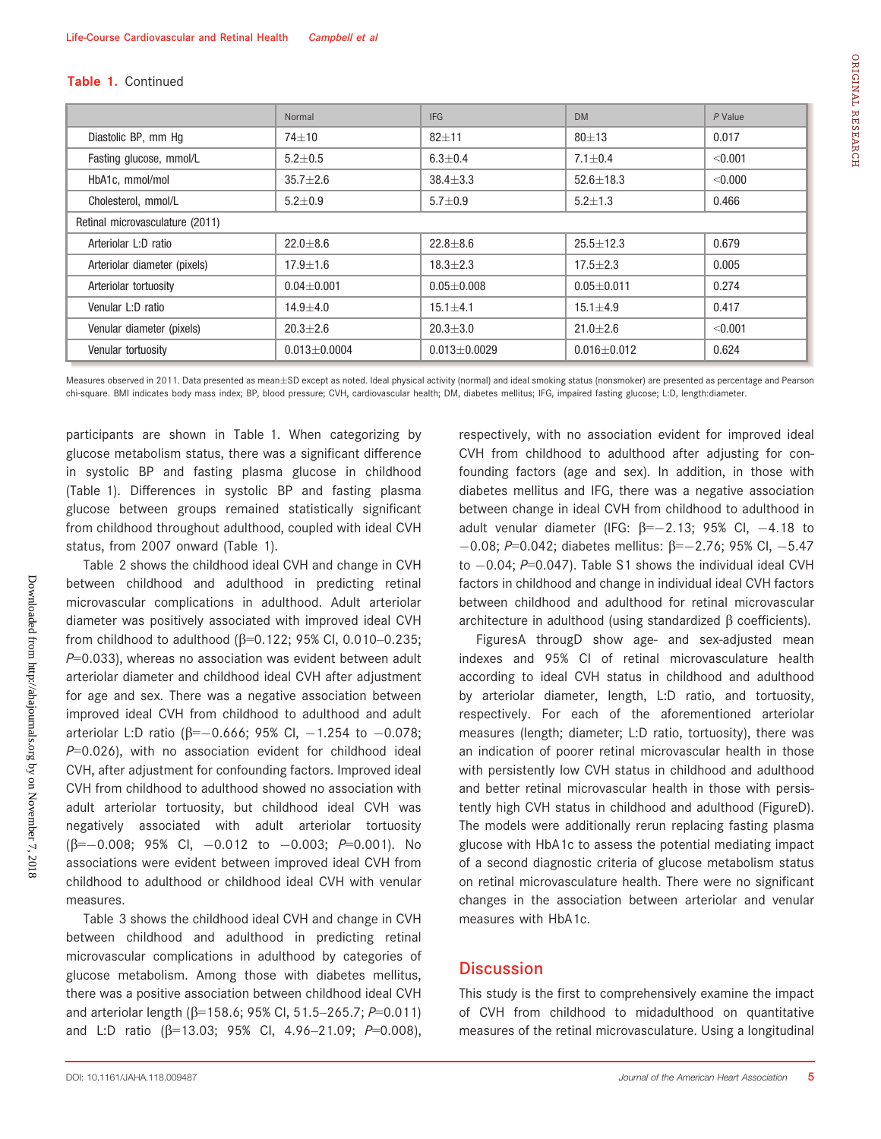#### Table 1. Continued

|                                 | Normal           | <b>IFG</b>       | <b>DM</b>       | $P$ Value |  |  |  |
|---------------------------------|------------------|------------------|-----------------|-----------|--|--|--|
| Diastolic BP, mm Hg             | 74±10            | $82 + 11$        | $80 \pm 13$     | 0.017     |  |  |  |
| Fasting glucose, mmol/L         | $5.2 \pm 0.5$    | $6.3 \pm 0.4$    | $7.1 \pm 0.4$   | < 0.001   |  |  |  |
| HbA1c, mmol/mol                 | $35.7 \pm 2.6$   | $38.4 \pm 3.3$   | $52.6 \pm 18.3$ | < 0.000   |  |  |  |
| Cholesterol, mmol/L             | $5.2 \pm 0.9$    | $5.7 + 0.9$      | $5.2 + 1.3$     | 0.466     |  |  |  |
| Retinal microvasculature (2011) |                  |                  |                 |           |  |  |  |
| Arteriolar L:D ratio            | $22.0 + 8.6$     | $22.8 + 8.6$     | $25.5 + 12.3$   | 0.679     |  |  |  |
| Arteriolar diameter (pixels)    | $17.9 \pm 1.6$   | $18.3 \pm 2.3$   | $17.5 \pm 2.3$  | 0.005     |  |  |  |
| Arteriolar tortuosity           | $0.04 + 0.001$   | $0.05 + 0.008$   | $0.05 + 0.011$  | 0.274     |  |  |  |
| Venular L:D ratio               | $14.9 \pm 4.0$   | $15.1 + 4.1$     | $15.1 \pm 4.9$  | 0.417     |  |  |  |
| Venular diameter (pixels)       | $20.3 \pm 2.6$   | $20.3 + 3.0$     | $21.0 + 2.6$    | < 0.001   |  |  |  |
| Venular tortuosity              | $0.013 + 0.0004$ | $0.013 + 0.0029$ | $0.016 + 0.012$ | 0.624     |  |  |  |

Measures observed in 2011. Data presented as mean $\pm$ SD except as noted. Ideal physical activity (normal) and ideal smoking status (nonsmoker) are presented as percentage and Pearson chi-square. BMI indicates body mass index; BP, blood pressure; CVH, cardiovascular health; DM, diabetes mellitus; IFG, impaired fasting glucose; L:D, length:diameter.

participants are shown in Table 1. When categorizing by glucose metabolism status, there was a significant difference in systolic BP and fasting plasma glucose in childhood (Table 1). Differences in systolic BP and fasting plasma glucose between groups remained statistically significant from childhood throughout adulthood, coupled with ideal CVH status, from 2007 onward (Table 1).

Table 2 shows the childhood ideal CVH and change in CVH between childhood and adulthood in predicting retinal microvascular complications in adulthood. Adult arteriolar diameter was positively associated with improved ideal CVH from childhood to adulthood ( $\beta$ =0.122; 95% CI, 0.010–0.235;  $P=0.033$ ), whereas no association was evident between adult arteriolar diameter and childhood ideal CVH after adjustment for age and sex. There was a negative association between improved ideal CVH from childhood to adulthood and adult arteriolar L:D ratio ( $\beta = -0.666$ ; 95% Cl,  $-1.254$  to  $-0.078$ ;  $P=0.026$ ), with no association evident for childhood ideal CVH, after adjustment for confounding factors. Improved ideal CVH from childhood to adulthood showed no association with adult arteriolar tortuosity, but childhood ideal CVH was negatively associated with adult arteriolar tortuosity  $(\beta=-0.008; 95\% \text{ Cl}, -0.012 \text{ to } -0.003; P=0.001).$  No associations were evident between improved ideal CVH from childhood to adulthood or childhood ideal CVH with venular measures.

Table 3 shows the childhood ideal CVH and change in CVH between childhood and adulthood in predicting retinal microvascular complications in adulthood by categories of glucose metabolism. Among those with diabetes mellitus, there was a positive association between childhood ideal CVH and arteriolar length ( $\beta$ =158.6; 95% Cl, 51.5–265.7; P=0.011) and L:D ratio ( $\beta$ =13.03; 95% Cl, 4.96-21.09; P=0.008), respectively, with no association evident for improved ideal CVH from childhood to adulthood after adjusting for confounding factors (age and sex). In addition, in those with diabetes mellitus and IFG, there was a negative association between change in ideal CVH from childhood to adulthood in adult venular diameter (IFG:  $\beta = -2.13$ ; 95% CI, -4.18 to  $-0.08$ ; P=0.042; diabetes mellitus:  $\beta = -2.76$ ; 95% CI,  $-5.47$ to  $-0.04$ ; P=0.047). Table S1 shows the individual ideal CVH factors in childhood and change in individual ideal CVH factors between childhood and adulthood for retinal microvascular architecture in adulthood (using standardized  $\beta$  coefficients).

FiguresA througD show age- and sex-adjusted mean indexes and 95% CI of retinal microvasculature health according to ideal CVH status in childhood and adulthood by arteriolar diameter, length, L:D ratio, and tortuosity, respectively. For each of the aforementioned arteriolar measures (length; diameter; L:D ratio, tortuosity), there was an indication of poorer retinal microvascular health in those with persistently low CVH status in childhood and adulthood and better retinal microvascular health in those with persistently high CVH status in childhood and adulthood (FigureD). The models were additionally rerun replacing fasting plasma glucose with HbA1c to assess the potential mediating impact of a second diagnostic criteria of glucose metabolism status on retinal microvasculature health. There were no significant changes in the association between arteriolar and venular measures with HbA1c.

### **Discussion**

This study is the first to comprehensively examine the impact of CVH from childhood to midadulthood on quantitative measures of the retinal microvasculature. Using a longitudinal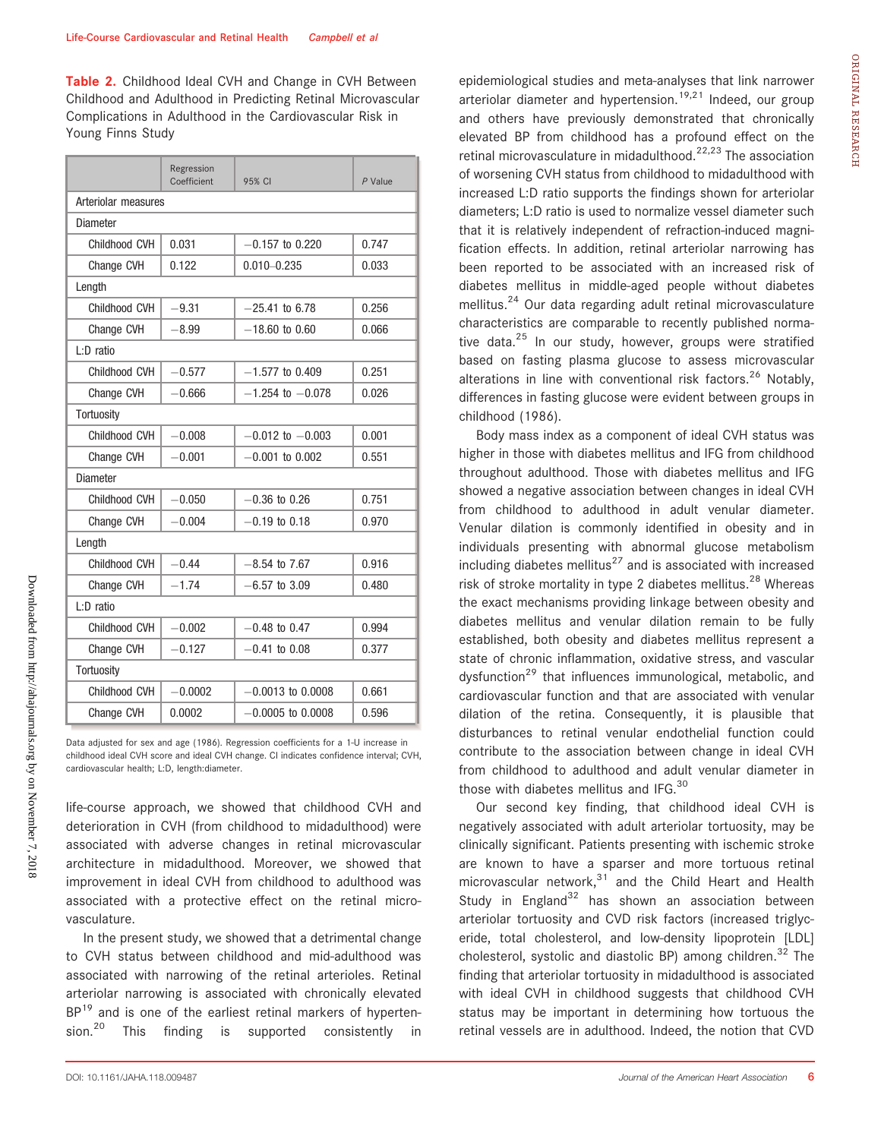Table 2. Childhood Ideal CVH and Change in CVH Between Childhood and Adulthood in Predicting Retinal Microvascular Complications in Adulthood in the Cardiovascular Risk in Young Finns Study

|                     | Regression<br>Coefficient | 95% CI               | P Value |  |  |  |  |  |
|---------------------|---------------------------|----------------------|---------|--|--|--|--|--|
| Arteriolar measures |                           |                      |         |  |  |  |  |  |
| Diameter            |                           |                      |         |  |  |  |  |  |
| Childhood CVH       | 0.031                     | $-0.157$ to 0.220    | 0.747   |  |  |  |  |  |
| Change CVH          | 0.122                     | $0.010 - 0.235$      | 0.033   |  |  |  |  |  |
| Length              |                           |                      |         |  |  |  |  |  |
| Childhood CVH       | $-9.31$                   | $-25.41$ to 6.78     | 0.256   |  |  |  |  |  |
| Change CVH          | $-8.99$                   | $-18.60$ to 0.60     | 0.066   |  |  |  |  |  |
| L:D ratio           |                           |                      |         |  |  |  |  |  |
| Childhood CVH       | $-0.577$                  | $-1.577$ to 0.409    | 0.251   |  |  |  |  |  |
| Change CVH          | $-0.666$                  | $-1.254$ to $-0.078$ | 0.026   |  |  |  |  |  |
| Tortuosity          |                           |                      |         |  |  |  |  |  |
| Childhood CVH       | $-0.008$                  | $-0.012$ to $-0.003$ | 0.001   |  |  |  |  |  |
| Change CVH          | $-0.001$                  | $-0.001$ to 0.002    | 0.551   |  |  |  |  |  |
| Diameter            |                           |                      |         |  |  |  |  |  |
| Childhood CVH       | $-0.050$                  | $-0.36$ to 0.26      | 0.751   |  |  |  |  |  |
| Change CVH          | $-0.004$                  | $-0.19$ to 0.18      | 0.970   |  |  |  |  |  |
| Length              |                           |                      |         |  |  |  |  |  |
| Childhood CVH       | $-0.44$                   | $-8.54$ to $7.67$    | 0.916   |  |  |  |  |  |
| Change CVH          | $-1.74$                   | $-6.57$ to 3.09      | 0.480   |  |  |  |  |  |
| $L: D$ ratio        |                           |                      |         |  |  |  |  |  |
| Childhood CVH       | $-0.002$                  | $-0.48$ to 0.47      | 0.994   |  |  |  |  |  |
| Change CVH          | $-0.127$                  | $-0.41$ to 0.08      | 0.377   |  |  |  |  |  |
| Tortuosity          |                           |                      |         |  |  |  |  |  |
| Childhood CVH       | $-0.0002$                 | $-0.0013$ to 0.0008  | 0.661   |  |  |  |  |  |
| Change CVH          | 0.0002                    | $-0.0005$ to 0.0008  | 0.596   |  |  |  |  |  |

Data adjusted for sex and age (1986). Regression coefficients for a 1-U increase in childhood ideal CVH score and ideal CVH change. CI indicates confidence interval; CVH, cardiovascular health; L:D, length:diameter.

life-course approach, we showed that childhood CVH and deterioration in CVH (from childhood to midadulthood) were associated with adverse changes in retinal microvascular architecture in midadulthood. Moreover, we showed that improvement in ideal CVH from childhood to adulthood was associated with a protective effect on the retinal microvasculature.

In the present study, we showed that a detrimental change to CVH status between childhood and mid-adulthood was associated with narrowing of the retinal arterioles. Retinal arteriolar narrowing is associated with chronically elevated  $BP^{19}$  and is one of the earliest retinal markers of hyperten-<br>sion.<sup>20</sup> This finding is supported consistently in This finding is supported consistently in epidemiological studies and meta-analyses that link narrower  $\frac{3}{4}$  arteriolar diameter and hypertension.<sup>19,21</sup> Indeed, our group and others have previously demonstrated that chronically elevated BP from childhood has a profound effect on the retinal microvasculature in midadulthood.<sup>22,23</sup> The association of worsening CVH status from childhood to midadulthood with increased L:D ratio supports the findings shown for arteriolar diameters; L:D ratio is used to normalize vessel diameter such that it is relatively independent of refraction-induced magnification effects. In addition, retinal arteriolar narrowing has been reported to be associated with an increased risk of diabetes mellitus in middle-aged people without diabetes mellitus.<sup>24</sup> Our data regarding adult retinal microvasculature characteristics are comparable to recently published normative data.<sup>25</sup> In our study, however, groups were stratified based on fasting plasma glucose to assess microvascular alterations in line with conventional risk factors.<sup>26</sup> Notably, differences in fasting glucose were evident between groups in childhood (1986).

Body mass index as a component of ideal CVH status was higher in those with diabetes mellitus and IFG from childhood throughout adulthood. Those with diabetes mellitus and IFG showed a negative association between changes in ideal CVH from childhood to adulthood in adult venular diameter. Venular dilation is commonly identified in obesity and in individuals presenting with abnormal glucose metabolism including diabetes mellitus<sup>27</sup> and is associated with increased risk of stroke mortality in type 2 diabetes mellitus.<sup>28</sup> Whereas the exact mechanisms providing linkage between obesity and diabetes mellitus and venular dilation remain to be fully established, both obesity and diabetes mellitus represent a state of chronic inflammation, oxidative stress, and vascular dysfunction<sup>29</sup> that influences immunological, metabolic, and cardiovascular function and that are associated with venular dilation of the retina. Consequently, it is plausible that disturbances to retinal venular endothelial function could contribute to the association between change in ideal CVH from childhood to adulthood and adult venular diameter in those with diabetes mellitus and IFG.<sup>30</sup>

Our second key finding, that childhood ideal CVH is negatively associated with adult arteriolar tortuosity, may be clinically significant. Patients presenting with ischemic stroke are known to have a sparser and more tortuous retinal microvascular network, $31$  and the Child Heart and Health Study in England<sup>32</sup> has shown an association between arteriolar tortuosity and CVD risk factors (increased triglyceride, total cholesterol, and low-density lipoprotein [LDL] cholesterol, systolic and diastolic BP) among children.<sup>32</sup> The finding that arteriolar tortuosity in midadulthood is associated with ideal CVH in childhood suggests that childhood CVH status may be important in determining how tortuous the retinal vessels are in adulthood. Indeed, the notion that CVD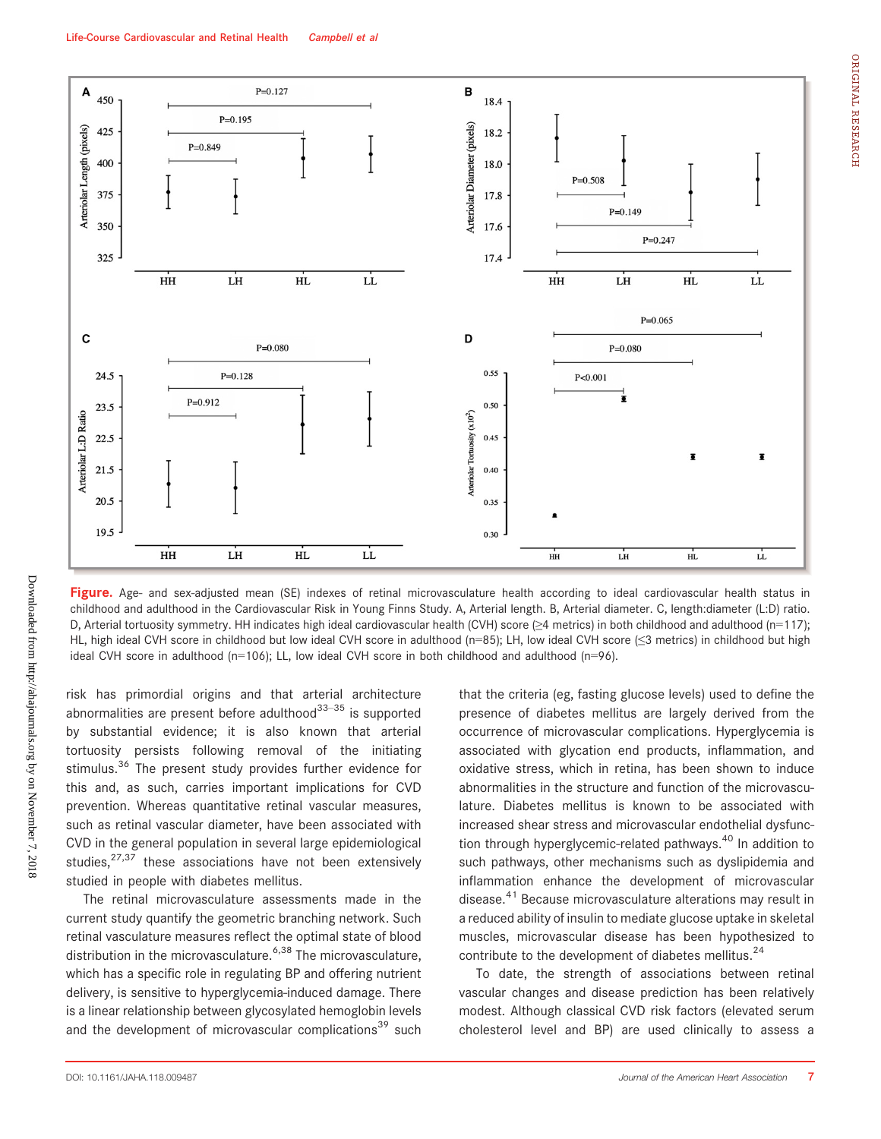

Figure. Age- and sex-adjusted mean (SE) indexes of retinal microvasculature health according to ideal cardiovascular health status in childhood and adulthood in the Cardiovascular Risk in Young Finns Study. A, Arterial length. B, Arterial diameter. C, length:diameter (L:D) ratio. D, Arterial tortuosity symmetry. HH indicates high ideal cardiovascular health (CVH) score (≥4 metrics) in both childhood and adulthood (n=117); HL, high ideal CVH score in childhood but low ideal CVH score in adulthood (n=85); LH, low ideal CVH score (≤3 metrics) in childhood but high ideal CVH score in adulthood (n=106); LL, low ideal CVH score in both childhood and adulthood (n=96).

risk has primordial origins and that arterial architecture abnormalities are present before adulthood $33-35$  is supported by substantial evidence; it is also known that arterial tortuosity persists following removal of the initiating stimulus.<sup>36</sup> The present study provides further evidence for this and, as such, carries important implications for CVD prevention. Whereas quantitative retinal vascular measures, such as retinal vascular diameter, have been associated with CVD in the general population in several large epidemiological studies, $27,37$  these associations have not been extensively studied in people with diabetes mellitus.

The retinal microvasculature assessments made in the current study quantify the geometric branching network. Such retinal vasculature measures reflect the optimal state of blood distribution in the microvasculature.<sup>6,38</sup> The microvasculature, which has a specific role in regulating BP and offering nutrient delivery, is sensitive to hyperglycemia-induced damage. There is a linear relationship between glycosylated hemoglobin levels and the development of microvascular complications<sup>39</sup> such

that the criteria (eg, fasting glucose levels) used to define the presence of diabetes mellitus are largely derived from the occurrence of microvascular complications. Hyperglycemia is associated with glycation end products, inflammation, and oxidative stress, which in retina, has been shown to induce abnormalities in the structure and function of the microvasculature. Diabetes mellitus is known to be associated with increased shear stress and microvascular endothelial dysfunction through hyperglycemic-related pathways.<sup>40</sup> In addition to such pathways, other mechanisms such as dyslipidemia and inflammation enhance the development of microvascular disease.<sup>41</sup> Because microvasculature alterations may result in a reduced ability of insulin to mediate glucose uptake in skeletal muscles, microvascular disease has been hypothesized to contribute to the development of diabetes mellitus.<sup>24</sup>

To date, the strength of associations between retinal vascular changes and disease prediction has been relatively modest. Although classical CVD risk factors (elevated serum cholesterol level and BP) are used clinically to assess a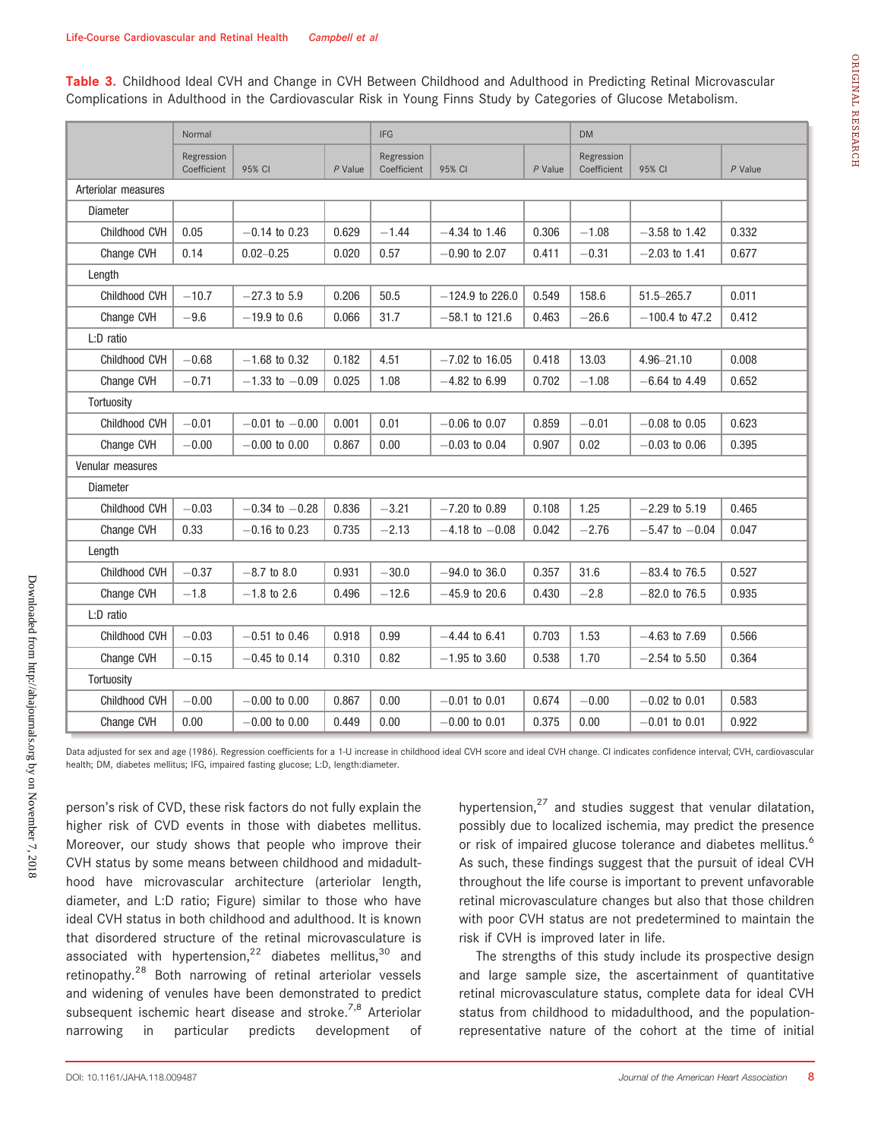Table 3. Childhood Ideal CVH and Change in CVH Between Childhood and Adulthood in Predicting Retinal Microvascular Complications in Adulthood in the Cardiovascular Risk in Young Finns Study by Categories of Glucose Metabolism.

|                     | Normal      |                    | <b>IFG</b> |             | <b>DM</b>          |           |             |                    |           |
|---------------------|-------------|--------------------|------------|-------------|--------------------|-----------|-------------|--------------------|-----------|
|                     | Regression  |                    | Regression |             | Regression         |           |             |                    |           |
|                     | Coefficient | 95% CI             | $P$ Value  | Coefficient | 95% CI             | $P$ Value | Coefficient | 95% CI             | $P$ Value |
| Arteriolar measures |             |                    |            |             |                    |           |             |                    |           |
| <b>Diameter</b>     |             |                    |            |             |                    |           |             |                    |           |
| Childhood CVH       | 0.05        | $-0.14$ to 0.23    | 0.629      | $-1.44$     | $-4.34$ to 1.46    | 0.306     | $-1.08$     | $-3.58$ to 1.42    | 0.332     |
| Change CVH          | 0.14        | $0.02 - 0.25$      | 0.020      | 0.57        | $-0.90$ to 2.07    | 0.411     | $-0.31$     | $-2.03$ to 1.41    | 0.677     |
| Length              |             |                    |            |             |                    |           |             |                    |           |
| Childhood CVH       | $-10.7$     | $-27.3$ to 5.9     | 0.206      | 50.5        | $-124.9$ to 226.0  | 0.549     | 158.6       | $51.5 - 265.7$     | 0.011     |
| Change CVH          | $-9.6$      | $-19.9$ to 0.6     | 0.066      | 31.7        | $-58.1$ to 121.6   | 0.463     | $-26.6$     | $-100.4$ to 47.2   | 0.412     |
| L:D ratio           |             |                    |            |             |                    |           |             |                    |           |
| Childhood CVH       | $-0.68$     | $-1.68$ to 0.32    | 0.182      | 4.51        | $-7.02$ to 16.05   | 0.418     | 13.03       | 4.96-21.10         | 0.008     |
| Change CVH          | $-0.71$     | $-1.33$ to $-0.09$ | 0.025      | 1.08        | $-4.82$ to 6.99    | 0.702     | $-1.08$     | $-6.64$ to 4.49    | 0.652     |
| Tortuosity          |             |                    |            |             |                    |           |             |                    |           |
| Childhood CVH       | $-0.01$     | $-0.01$ to $-0.00$ | 0.001      | 0.01        | $-0.06$ to 0.07    | 0.859     | $-0.01$     | $-0.08$ to 0.05    | 0.623     |
| Change CVH          | $-0.00$     | $-0.00$ to 0.00    | 0.867      | 0.00        | $-0.03$ to 0.04    | 0.907     | 0.02        | $-0.03$ to 0.06    | 0.395     |
| Venular measures    |             |                    |            |             |                    |           |             |                    |           |
| <b>Diameter</b>     |             |                    |            |             |                    |           |             |                    |           |
| Childhood CVH       | $-0.03$     | $-0.34$ to $-0.28$ | 0.836      | $-3.21$     | $-7.20$ to 0.89    | 0.108     | 1.25        | $-2.29$ to 5.19    | 0.465     |
| Change CVH          | 0.33        | $-0.16$ to 0.23    | 0.735      | $-2.13$     | $-4.18$ to $-0.08$ | 0.042     | $-2.76$     | $-5.47$ to $-0.04$ | 0.047     |
| Length              |             |                    |            |             |                    |           |             |                    |           |
| Childhood CVH       | $-0.37$     | $-8.7$ to 8.0      | 0.931      | $-30.0$     | $-94.0$ to 36.0    | 0.357     | 31.6        | $-83.4$ to 76.5    | 0.527     |
| Change CVH          | $-1.8$      | $-1.8$ to 2.6      | 0.496      | $-12.6$     | $-45.9$ to 20.6    | 0.430     | $-2.8$      | $-82.0$ to 76.5    | 0.935     |
| L:D ratio           |             |                    |            |             |                    |           |             |                    |           |
| Childhood CVH       | $-0.03$     | $-0.51$ to 0.46    | 0.918      | 0.99        | $-4.44$ to 6.41    | 0.703     | 1.53        | $-4.63$ to $7.69$  | 0.566     |
| Change CVH          | $-0.15$     | $-0.45$ to 0.14    | 0.310      | 0.82        | $-1.95$ to 3.60    | 0.538     | 1.70        | $-2.54$ to 5.50    | 0.364     |
| Tortuosity          |             |                    |            |             |                    |           |             |                    |           |
| Childhood CVH       | $-0.00$     | $-0.00$ to $0.00$  | 0.867      | 0.00        | $-0.01$ to 0.01    | 0.674     | $-0.00$     | $-0.02$ to 0.01    | 0.583     |
| Change CVH          | 0.00        | $-0.00$ to $0.00$  | 0.449      | 0.00        | $-0.00$ to 0.01    | 0.375     | 0.00        | $-0.01$ to 0.01    | 0.922     |

Data adjusted for sex and age (1986). Regression coefficients for a 1-U increase in childhood ideal CVH score and ideal CVH change. CI indicates confidence interval; CVH, cardiovascular health; DM, diabetes mellitus; IFG, impaired fasting glucose; L:D, length:diameter.

person's risk of CVD, these risk factors do not fully explain the higher risk of CVD events in those with diabetes mellitus. Moreover, our study shows that people who improve their CVH status by some means between childhood and midadulthood have microvascular architecture (arteriolar length, diameter, and L:D ratio; Figure) similar to those who have ideal CVH status in both childhood and adulthood. It is known that disordered structure of the retinal microvasculature is associated with hypertension,<sup>22</sup> diabetes mellitus,<sup>30</sup> and retinopathy.<sup>28</sup> Both narrowing of retinal arteriolar vessels and widening of venules have been demonstrated to predict subsequent ischemic heart disease and stroke.<sup>7,8</sup> Arteriolar narrowing in particular predicts development of hypertension, $27$  and studies suggest that venular dilatation, possibly due to localized ischemia, may predict the presence or risk of impaired glucose tolerance and diabetes mellitus.<sup>6</sup> As such, these findings suggest that the pursuit of ideal CVH throughout the life course is important to prevent unfavorable retinal microvasculature changes but also that those children with poor CVH status are not predetermined to maintain the risk if CVH is improved later in life.

The strengths of this study include its prospective design and large sample size, the ascertainment of quantitative retinal microvasculature status, complete data for ideal CVH status from childhood to midadulthood, and the populationrepresentative nature of the cohort at the time of initial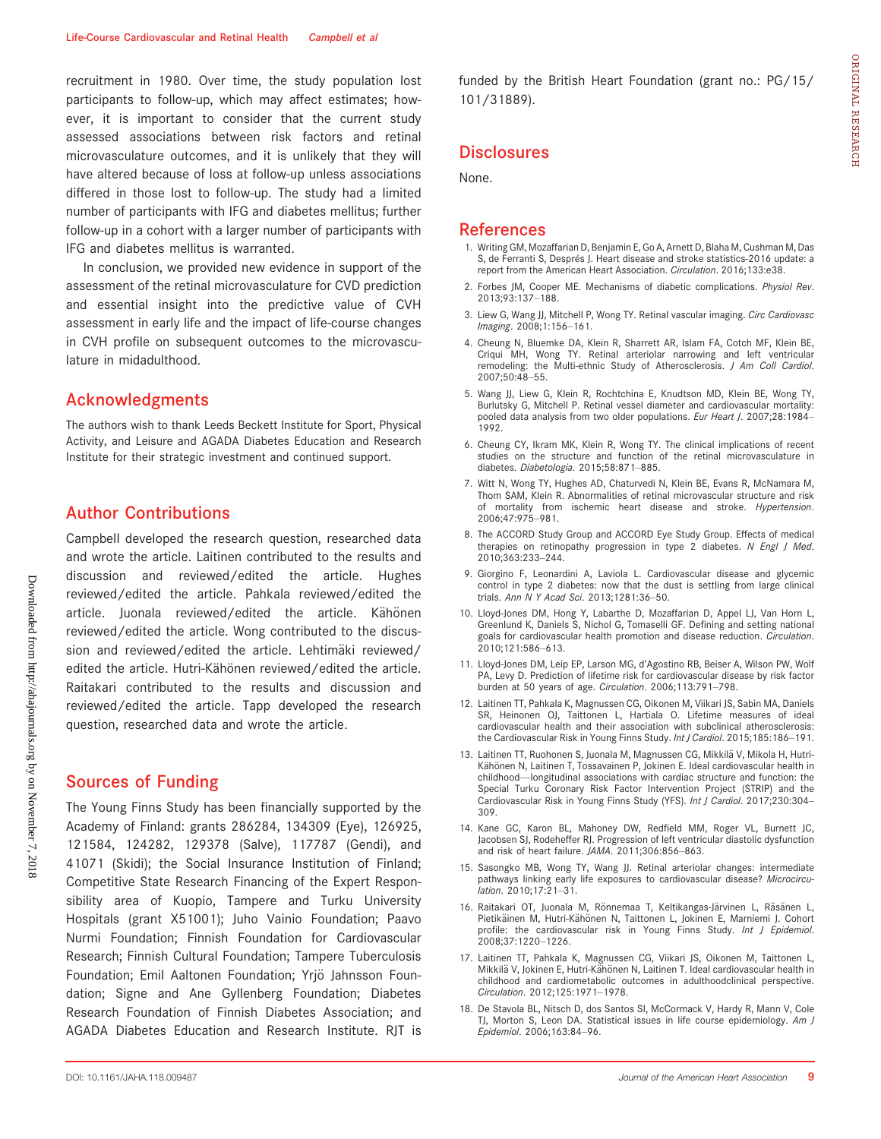recruitment in 1980. Over time, the study population lost participants to follow-up, which may affect estimates; however, it is important to consider that the current study assessed associations between risk factors and retinal microvasculature outcomes, and it is unlikely that they will have altered because of loss at follow-up unless associations differed in those lost to follow-up. The study had a limited number of participants with IFG and diabetes mellitus; further follow-up in a cohort with a larger number of participants with IFG and diabetes mellitus is warranted.

In conclusion, we provided new evidence in support of the assessment of the retinal microvasculature for CVD prediction and essential insight into the predictive value of CVH assessment in early life and the impact of life-course changes in CVH profile on subsequent outcomes to the microvasculature in midadulthood.

# Acknowledgments

The authors wish to thank Leeds Beckett Institute for Sport, Physical Activity, and Leisure and AGADA Diabetes Education and Research Institute for their strategic investment and continued support.

## Author Contributions

Campbell developed the research question, researched data and wrote the article. Laitinen contributed to the results and discussion and reviewed/edited the article. Hughes reviewed/edited the article. Pahkala reviewed/edited the article. Juonala reviewed/edited the article. Kähönen reviewed/edited the article. Wong contributed to the discussion and reviewed/edited the article. Lehtimäki reviewed/ edited the article. Hutri-Kähönen reviewed/edited the article. Raitakari contributed to the results and discussion and reviewed/edited the article. Tapp developed the research question, researched data and wrote the article.

#### Sources of Funding

The Young Finns Study has been financially supported by the Academy of Finland: grants 286284, 134309 (Eye), 126925, 121584, 124282, 129378 (Salve), 117787 (Gendi), and 41071 (Skidi); the Social Insurance Institution of Finland; Competitive State Research Financing of the Expert Responsibility area of Kuopio, Tampere and Turku University Hospitals (grant X51001); Juho Vainio Foundation; Paavo Nurmi Foundation; Finnish Foundation for Cardiovascular Research; Finnish Cultural Foundation; Tampere Tuberculosis Foundation; Emil Aaltonen Foundation; Yrjö Jahnsson Foundation; Signe and Ane Gyllenberg Foundation; Diabetes Research Foundation of Finnish Diabetes Association; and AGADA Diabetes Education and Research Institute. RJT is funded by the British Heart Foundation (grant no.: PG/15/ 101/31889).

#### **Disclosures**

None.

#### References

- 1. Writing GM, Mozaffarian D, Benjamin E, Go A, Arnett D, Blaha M, Cushman M, Das S, de Ferranti S, Després J. Heart disease and stroke statistics-2016 update: a report from the American Heart Association. Circulation. 2016;133:e38.
- 2. Forbes JM, Cooper ME. Mechanisms of diabetic complications. Physiol Rev. 2013;93:137–188.
- 3. Liew G, Wang JJ, Mitchell P, Wong TY. Retinal vascular imaging. Circ Cardiovasc Imaging. 2008;1:156–161.
- 4. Cheung N, Bluemke DA, Klein R, Sharrett AR, Islam FA, Cotch MF, Klein BE, Criqui MH, Wong TY. Retinal arteriolar narrowing and left ventricular remodeling: the Multi-ethnic Study of Atherosclerosis. J Am Coll Cardiol. 2007;50:48–55.
- 5. Wang JJ, Liew G, Klein R, Rochtchina E, Knudtson MD, Klein BE, Wong TY, Burlutsky G, Mitchell P. Retinal vessel diameter and cardiovascular mortality: pooled data analysis from two older populations. Eur Heart J. 2007;28:1984-1992.
- 6. Cheung CY, Ikram MK, Klein R, Wong TY. The clinical implications of recent studies on the structure and function of the retinal microvasculature in diabetes. Diabetologia. 2015;58:871–885.
- 7. Witt N, Wong TY, Hughes AD, Chaturvedi N, Klein BE, Evans R, McNamara M, Thom SAM, Klein R. Abnormalities of retinal microvascular structure and risk of mortality from ischemic heart disease and stroke. Hypertension. 2006;47:975–981.
- 8. The ACCORD Study Group and ACCORD Eye Study Group. Effects of medical therapies on retinopathy progression in type 2 diabetes. N Engl J Med. 2010;363:233–244.
- 9. Giorgino F, Leonardini A, Laviola L. Cardiovascular disease and glycemic control in type 2 diabetes: now that the dust is settling from large clinical trials. Ann N Y Acad Sci. 2013;1281:36-50.
- 10. Lloyd-Jones DM, Hong Y, Labarthe D, Mozaffarian D, Appel LJ, Van Horn L, Greenlund K, Daniels S, Nichol G, Tomaselli GF. Defining and setting national goals for cardiovascular health promotion and disease reduction. Circulation. 2010;121:586–613.
- 11. Lloyd-Jones DM, Leip EP, Larson MG, d'Agostino RB, Beiser A, Wilson PW, Wolf PA, Levy D. Prediction of lifetime risk for cardiovascular disease by risk factor burden at 50 years of age. Circulation. 2006;113:791–798.
- 12. Laitinen TT, Pahkala K, Magnussen CG, Oikonen M, Viikari JS, Sabin MA, Daniels SR, Heinonen OJ, Taittonen L, Hartiala O. Lifetime measures of ideal cardiovascular health and their association with subclinical atherosclerosis: the Cardiovascular Risk in Young Finns Study. Int J Cardiol. 2015;185:186-191.
- 13. Laitinen TT, Ruohonen S, Juonala M, Magnussen CG, Mikkilä V, Mikola H, Hutri-Kähönen N, Laitinen T, Tossavainen P, Jokinen E. Ideal cardiovascular health in childhood—longitudinal associations with cardiac structure and function: the Special Turku Coronary Risk Factor Intervention Project (STRIP) and the Cardiovascular Risk in Young Finns Study (YFS). Int J Cardiol. 2017;230:304– 309.
- 14. Kane GC, Karon BL, Mahoney DW, Redfield MM, Roger VL, Burnett JC, Jacobsen SJ, Rodeheffer RJ. Progression of left ventricular diastolic dysfunction and risk of heart failure. JAMA. 2011;306:856–863.
- 15. Sasongko MB, Wong TY, Wang JJ. Retinal arteriolar changes: intermediate pathways linking early life exposures to cardiovascular disease? Microcirculation. 2010;17:21–31.
- 16. Raitakari OT, Juonala M, Rönnemaa T, Keltikangas-Järvinen L, Räsänen L, Pietikäinen M, Hutri-Kähönen N, Taittonen L, Jokinen E, Marniemi J. Cohort profile: the cardiovascular risk in Young Finns Study. Int J Epidemiol. 2008;37:1220–1226.
- 17. Laitinen TT, Pahkala K, Magnussen CG, Viikari JS, Oikonen M, Taittonen L, Mikkilä V, Jokinen E, Hutri-Kähönen N, Laitinen T, Ideal cardiovascular health in childhood and cardiometabolic outcomes in adulthoodclinical perspective. Circulation. 2012;125:1971–1978.
- 18. De Stavola BL, Nitsch D, dos Santos SI, McCormack V, Hardy R, Mann V, Cole TJ, Morton S, Leon DA. Statistical issues in life course epidemiology. Am J Epidemiol. 2006;163:84–96.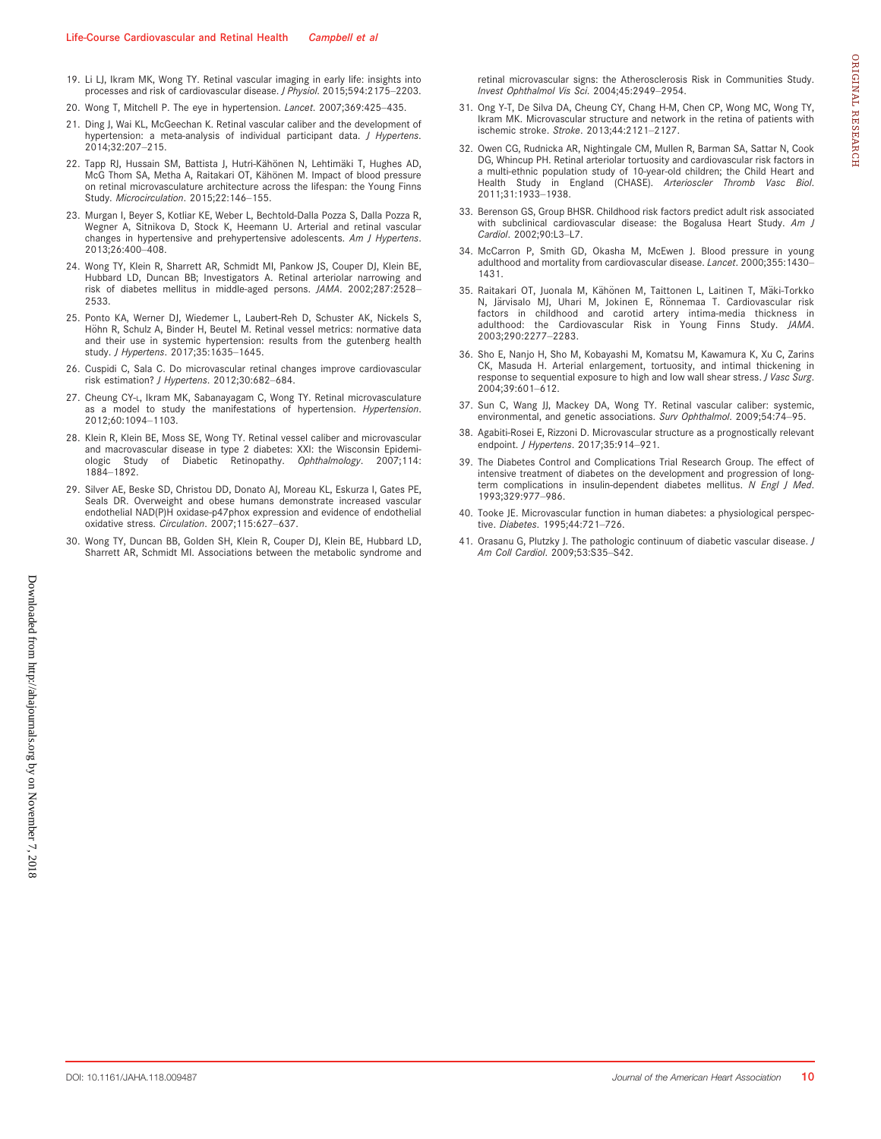- 19. Li LJ, Ikram MK, Wong TY. Retinal vascular imaging in early life: insights into processes and risk of cardiovascular disease. J Physiol. 2015;594:2175–2203.
- 20. Wong T, Mitchell P. The eye in hypertension. Lancet. 2007;369:425–435.
- 21. Ding J, Wai KL, McGeechan K. Retinal vascular caliber and the development of hypertension: a meta-analysis of individual participant data. J Hypertens. 2014;32:207–215.
- 22. Tapp RJ, Hussain SM, Battista J, Hutri-Kähönen N, Lehtimäki T, Hughes AD, McG Thom SA, Metha A, Raitakari OT, Kähönen M, Impact of blood pressure on retinal microvasculature architecture across the lifespan: the Young Finns Study. Microcirculation. 2015;22:146–155.
- 23. Murgan I, Beyer S, Kotliar KE, Weber L, Bechtold-Dalla Pozza S, Dalla Pozza R, Wegner A, Sitnikova D, Stock K, Heemann U. Arterial and retinal vascular changes in hypertensive and prehypertensive adolescents. Am J Hypertens. 2013;26:400–408.
- 24. Wong TY, Klein R, Sharrett AR, Schmidt MI, Pankow JS, Couper DJ, Klein BE, Hubbard LD, Duncan BB; Investigators A. Retinal arteriolar narrowing and risk of diabetes mellitus in middle-aged persons. JAMA. 2002;287:2528– 2533.
- 25. Ponto KA, Werner DJ, Wiedemer L, Laubert-Reh D, Schuster AK, Nickels S, Höhn R, Schulz A, Binder H, Beutel M. Retinal vessel metrics: normative data and their use in systemic hypertension: results from the gutenberg health study. J Hypertens. 2017;35:1635–1645.
- 26. Cuspidi C, Sala C. Do microvascular retinal changes improve cardiovascular risk estimation? J Hypertens. 2012;30:682–684.
- 27. Cheung CY-L, Ikram MK, Sabanayagam C, Wong TY. Retinal microvasculature as a model to study the manifestations of hypertension. Hypertension. 2012;60:1094–1103.
- 28. Klein R, Klein BE, Moss SE, Wong TY. Retinal vessel caliber and microvascular and macrovascular disease in type 2 diabetes: XXI: the Wisconsin Epidemiologic Study of Diabetic Retinopathy. Ophthalmology. 2007;114: 1884–1892.
- 29. Silver AE, Beske SD, Christou DD, Donato AJ, Moreau KL, Eskurza I, Gates PE, Seals DR. Overweight and obese humans demonstrate increased vascular endothelial NAD(P)H oxidase-p47phox expression and evidence of endothelial oxidative stress. Circulation. 2007;115:627–637.
- 30. Wong TY, Duncan BB, Golden SH, Klein R, Couper DJ, Klein BE, Hubbard LD, Sharrett AR, Schmidt MI. Associations between the metabolic syndrome and

retinal microvascular signs: the Atherosclerosis Risk in Communities Study. Invest Ophthalmol Vis Sci. 2004;45:2949–2954.

- 31. Ong Y-T, De Silva DA, Cheung CY, Chang H-M, Chen CP, Wong MC, Wong TY, Ikram MK. Microvascular structure and network in the retina of patients with ischemic stroke. Stroke. 2013;44:2121–2127.
- 32. Owen CG, Rudnicka AR, Nightingale CM, Mullen R, Barman SA, Sattar N, Cook DG, Whincup PH. Retinal arteriolar tortuosity and cardiovascular risk factors in a multi-ethnic population study of 10-year-old children; the Child Heart and Health Study in England (CHASE). Arterioscler Thromb Vasc Biol. 2011;31:1933–1938.
- 33. Berenson GS, Group BHSR. Childhood risk factors predict adult risk associated with subclinical cardiovascular disease: the Bogalusa Heart Study. Am J Cardiol. 2002;90:L3–L7.
- 34. McCarron P, Smith GD, Okasha M, McEwen J. Blood pressure in young adulthood and mortality from cardiovascular disease. Lancet. 2000;355:1430-1431.
- 35. Raitakari OT, Juonala M, Kähönen M, Taittonen L, Laitinen T, Mäki-Torkko N, Järvisalo MJ, Uhari M, Jokinen E, Rönnemaa T. Cardiovascular risk factors in childhood and carotid artery intima-media thickness in adulthood: the Cardiovascular Risk in Young Finns Study. JAMA. 2003;290:2277–2283.
- 36. Sho E, Nanjo H, Sho M, Kobayashi M, Komatsu M, Kawamura K, Xu C, Zarins CK, Masuda H. Arterial enlargement, tortuosity, and intimal thickening in response to sequential exposure to high and low wall shear stress. J Vasc Surg. 2004;39:601–612.
- 37. Sun C, Wang JJ, Mackey DA, Wong TY. Retinal vascular caliber: systemic, environmental, and genetic associations. Surv Ophthalmol. 2009;54:74–95.
- 38. Agabiti-Rosei E, Rizzoni D. Microvascular structure as a prognostically relevant endpoint. J Hypertens. 2017;35:914–921.
- 39. The Diabetes Control and Complications Trial Research Group. The effect of intensive treatment of diabetes on the development and progression of longterm complications in insulin-dependent diabetes mellitus. N Engl J Med. 1993;329:977–986.
- 40. Tooke JE. Microvascular function in human diabetes: a physiological perspective. Diabetes. 1995;44:721–726.
- 41. Orasanu G, Plutzky J. The pathologic continuum of diabetic vascular disease. J Am Coll Cardiol. 2009;53:S35–S42.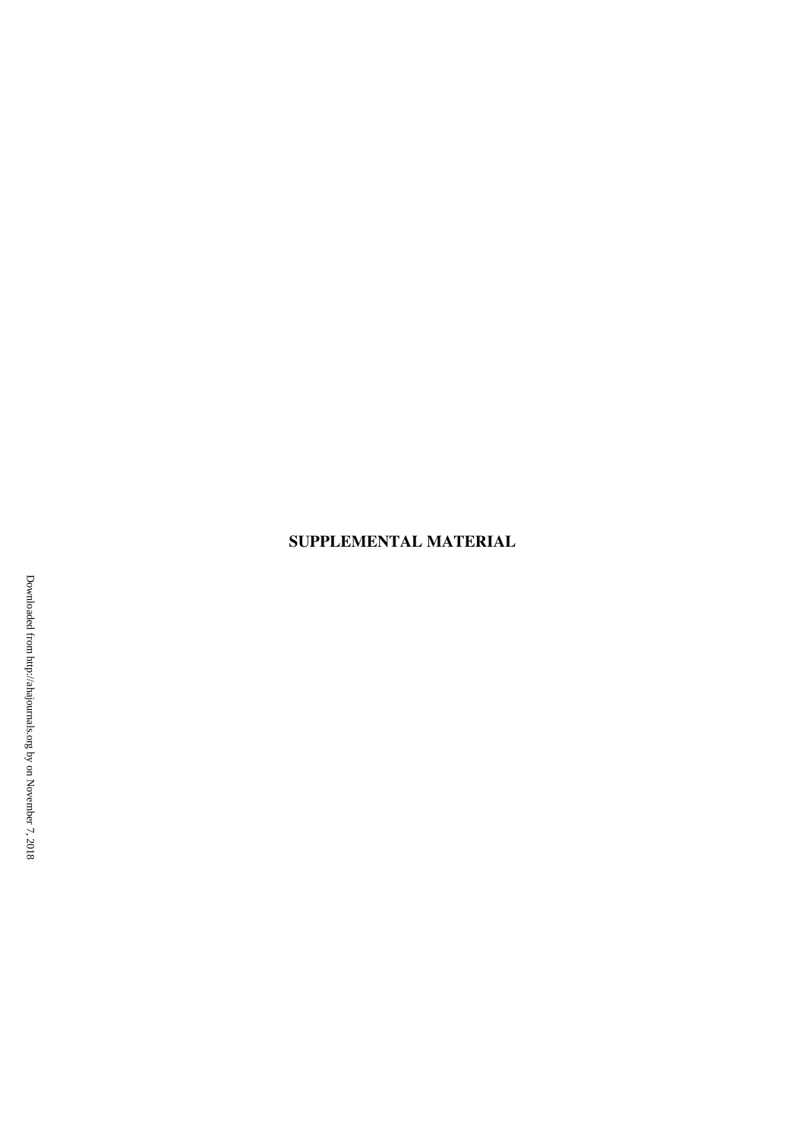# **SUPPLEMENTAL MATERIAL**